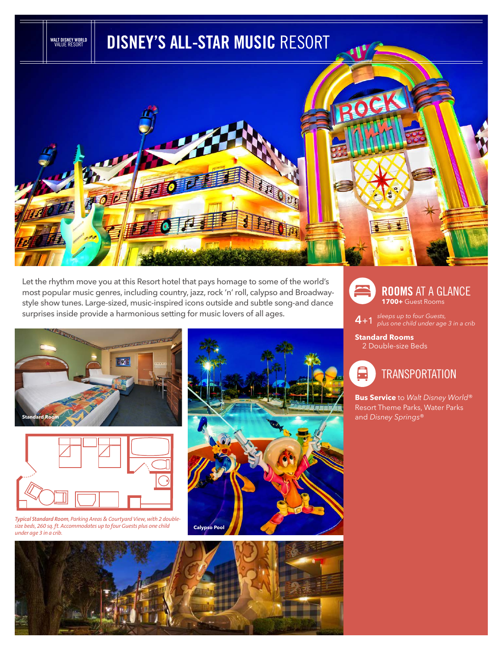

Let the rhythm move you at this Resort hotel that pays homage to some of the world's most popular music genres, including country, jazz, rock 'n' roll, calypso and Broadwaystyle show tunes. Large-sized, music-inspired icons outside and subtle song-and dance surprises inside provide a harmonious setting for music lovers of all ages.





*Typical Standard Room, Parking Areas & Courtyard View, with 2 doublesize beds, 260 sq. ft. Accommodates up to four Guests plus one child under age 3 in a crib.*





**4**+1 *sleeps up to four Guests, plus one child under age 3 in a crib* 

**Standard Rooms** 2 Double-size Beds



**Bus Service** to *Walt Disney World*® Resort Theme Parks, Water Parks and *Disney Springs*®